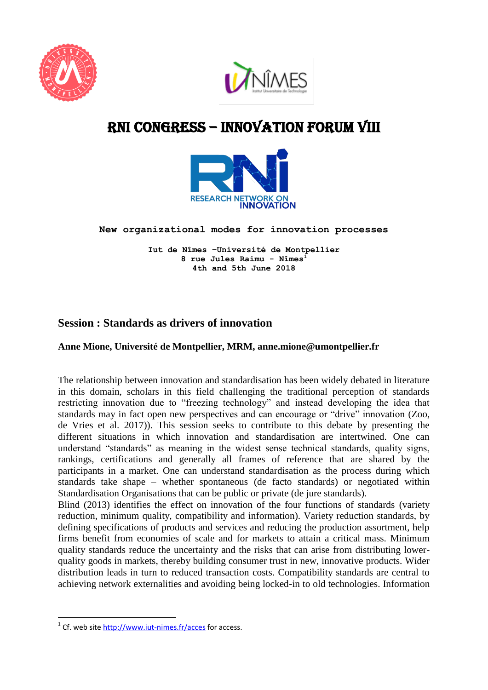



# RNI cONGRESS – innovation Forum VIII



**New organizational modes for innovation processes** 

**Iut de Nîmes –Université de Montpellier 8 rue Jules Raimu - Nîmes<sup>1</sup> 4th and 5th June 2018**

# **Session : Standards as drivers of innovation**

## **Anne Mione, Université de Montpellier, MRM, anne.mione@umontpellier.fr**

The relationship between innovation and standardisation has been widely debated in literature in this domain, scholars in this field challenging the traditional perception of standards restricting innovation due to "freezing technology" and instead developing the idea that standards may in fact open new perspectives and can encourage or "drive" innovation (Zoo, de Vries et al. 2017)). This session seeks to contribute to this debate by presenting the different situations in which innovation and standardisation are intertwined. One can understand "standards" as meaning in the widest sense technical standards, quality signs, rankings, certifications and generally all frames of reference that are shared by the participants in a market. One can understand standardisation as the process during which standards take shape – whether spontaneous (de facto standards) or negotiated within Standardisation Organisations that can be public or private (de jure standards).

Blind (2013) identifies the effect on innovation of the four functions of standards (variety reduction, minimum quality, compatibility and information). Variety reduction standards, by defining specifications of products and services and reducing the production assortment, help firms benefit from economies of scale and for markets to attain a critical mass. Minimum quality standards reduce the uncertainty and the risks that can arise from distributing lowerquality goods in markets, thereby building consumer trust in new, innovative products. Wider distribution leads in turn to reduced transaction costs. Compatibility standards are central to achieving network externalities and avoiding being locked-in to old technologies. Information

**.** 

<sup>&</sup>lt;sup>1</sup> Cf. web site<http://www.iut-nimes.fr/acces> for access.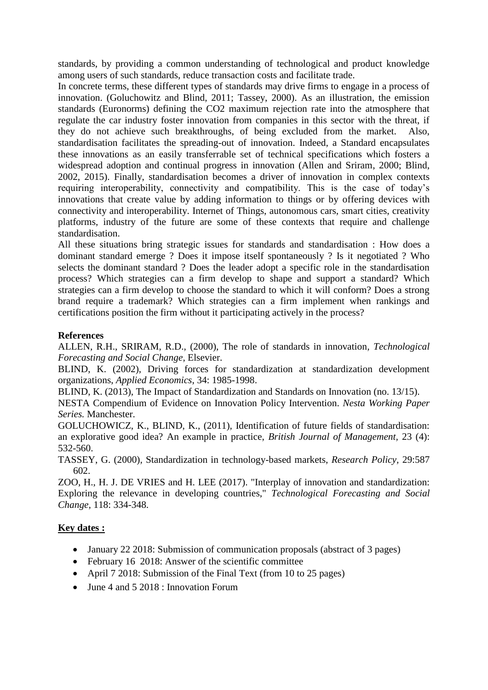standards, by providing a common understanding of technological and product knowledge among users of such standards, reduce transaction costs and facilitate trade.

In concrete terms, these different types of standards may drive firms to engage in a process of innovation. (Goluchowitz and Blind, 2011; Tassey, 2000). As an illustration, the emission standards (Euronorms) defining the CO2 maximum rejection rate into the atmosphere that regulate the car industry foster innovation from companies in this sector with the threat, if they do not achieve such breakthroughs, of being excluded from the market. Also, standardisation facilitates the spreading-out of innovation. Indeed, a Standard encapsulates these innovations as an easily transferrable set of technical specifications which fosters a widespread adoption and continual progress in innovation (Allen and Sriram, 2000; Blind, 2002, 2015). Finally, standardisation becomes a driver of innovation in complex contexts requiring interoperability, connectivity and compatibility. This is the case of today's innovations that create value by adding information to things or by offering devices with connectivity and interoperability. Internet of Things, autonomous cars, smart cities, creativity platforms, industry of the future are some of these contexts that require and challenge standardisation.

All these situations bring strategic issues for standards and standardisation : How does a dominant standard emerge ? Does it impose itself spontaneously ? Is it negotiated ? Who selects the dominant standard ? Does the leader adopt a specific role in the standardisation process? Which strategies can a firm develop to shape and support a standard? Which strategies can a firm develop to choose the standard to which it will conform? Does a strong brand require a trademark? Which strategies can a firm implement when rankings and certifications position the firm without it participating actively in the process?

# **References**

ALLEN, R.H., SRIRAM, R.D., (2000), The role of standards in innovation*, Technological Forecasting and Social Change*, Elsevier.

BLIND, K. (2002), Driving forces for standardization at standardization development organizations, *Applied Economics*, 34: 1985-1998.

BLIND, K. (2013), The Impact of Standardization and Standards on Innovation (no. 13/15).

NESTA Compendium of Evidence on Innovation Policy Intervention. *Nesta Working Paper Series.* Manchester.

GOLUCHOWICZ, K., BLIND, K., (2011), Identification of future fields of standardisation: an explorative good idea? An example in practice, *British Journal of Management,* 23 (4): 532-560.

TASSEY, G. (2000), Standardization in technology-based markets, *Research Policy,* 29:587 602.

ZOO, H., H. J. DE VRIES and H. LEE (2017). "Interplay of innovation and standardization: Exploring the relevance in developing countries," *Technological Forecasting and Social Change,* 118: 334-348.

## **Key dates :**

- January 22 2018: Submission of communication proposals (abstract of 3 pages)
- February 16 2018: Answer of the scientific committee
- April 7 2018: Submission of the Final Text (from 10 to 25 pages)
- June 4 and 5 2018 : Innovation Forum